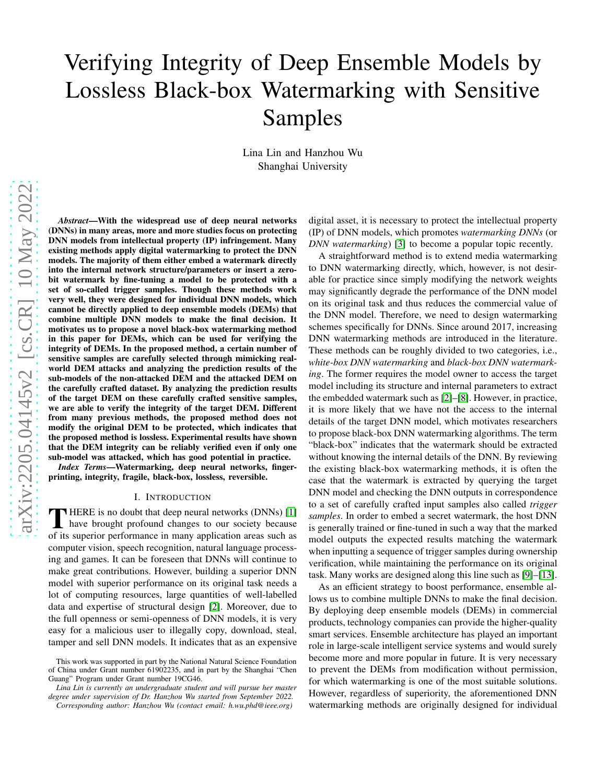# arXiv:2205.04145v2 [cs.CR] 10 May 2022 [arXiv:2205.04145v2 \[cs.CR\] 10 May 2022](http://arxiv.org/abs/2205.04145v2)

# Verifying Integrity of Deep Ensemble Models by Lossless Black-box Watermarking with Sensitive Samples

Lina Lin and Hanzhou Wu Shanghai University

*Abstract*—With the widespread use of deep neural networks (DNNs) in many areas, more and more studies focus on protecting DNN models from intellectual property (IP) infringement. Many existing methods apply digital watermarking to protect the DNN models. The majority of them either embed a watermark directly into the internal network structure/parameters or insert a zerobit watermark by fine-tuning a model to be protected with a set of so-called trigger samples. Though these methods work very well, they were designed for individual DNN models, which cannot be directly applied to deep ensemble models (DEMs) that combine multiple DNN models to make the final decision. It motivates us to propose a novel black-box watermarking method in this paper for DEMs, which can be used for verifying the integrity of DEMs. In the proposed method, a certain number of sensitive samples are carefully selected through mimicking realworld DEM attacks and analyzing the prediction results of the sub-models of the non-attacked DEM and the attacked DEM on the carefully crafted dataset. By analyzing the prediction results of the target DEM on these carefully crafted sensitive samples, we are able to verify the integrity of the target DEM. Different from many previous methods, the proposed method does not modify the original DEM to be protected, which indicates that the proposed method is lossless. Experimental results have shown that the DEM integrity can be reliably verified even if only one sub-model was attacked, which has good potential in practice.

*Index Terms*—Watermarking, deep neural networks, fingerprinting, integrity, fragile, black-box, lossless, reversible.

### I. INTRODUCTION

THERE is no doubt that deep neural networks (DNNs) [1]<br>have brought profound changes to our society because HERE is no doubt that deep neural networks (DNNs) [\[1\]](#page-4-0) of its superior performance in many application areas such as computer vision, speech recognition, natural language processing and games. It can be foreseen that DNNs will continue to make great contributions. However, building a superior DNN model with superior performance on its original task needs a lot of computing resources, large quantities of well-labelled data and expertise of structural design [\[2\]](#page-4-1). Moreover, due to the full openness or semi-openness of DNN models, it is very easy for a malicious user to illegally copy, download, steal, tamper and sell DNN models. It indicates that as an expensive digital asset, it is necessary to protect the intellectual property (IP) of DNN models, which promotes *watermarking DNNs* (or *DNN watermarking*) [\[3\]](#page-4-2) to become a popular topic recently.

A straightforward method is to extend media watermarking to DNN watermarking directly, which, however, is not desirable for practice since simply modifying the network weights may significantly degrade the performance of the DNN model on its original task and thus reduces the commercial value of the DNN model. Therefore, we need to design watermarking schemes specifically for DNNs. Since around 2017, increasing DNN watermarking methods are introduced in the literature. These methods can be roughly divided to two categories, i.e., *white-box DNN watermarking* and *black-box DNN watermarking*. The former requires the model owner to access the target model including its structure and internal parameters to extract the embedded watermark such as [\[2\]](#page-4-1)–[\[8\]](#page-4-3). However, in practice, it is more likely that we have not the access to the internal details of the target DNN model, which motivates researchers to propose black-box DNN watermarking algorithms. The term "black-box" indicates that the watermark should be extracted without knowing the internal details of the DNN. By reviewing the existing black-box watermarking methods, it is often the case that the watermark is extracted by querying the target DNN model and checking the DNN outputs in correspondence to a set of carefully crafted input samples also called *trigger samples*. In order to embed a secret watermark, the host DNN is generally trained or fine-tuned in such a way that the marked model outputs the expected results matching the watermark when inputting a sequence of trigger samples during ownership verification, while maintaining the performance on its original task. Many works are designed along this line such as [\[9\]](#page-4-4)–[\[13\]](#page-4-5).

As an efficient strategy to boost performance, ensemble allows us to combine multiple DNNs to make the final decision. By deploying deep ensemble models (DEMs) in commercial products, technology companies can provide the higher-quality smart services. Ensemble architecture has played an important role in large-scale intelligent service systems and would surely become more and more popular in future. It is very necessary to prevent the DEMs from modification without permission, for which watermarking is one of the most suitable solutions. However, regardless of superiority, the aforementioned DNN watermarking methods are originally designed for individual

This work was supported in part by the National Natural Science Foundation of China under Grant number 61902235, and in part by the Shanghai "Chen Guang" Program under Grant number 19CG46.

*Lina Lin is currently an undergraduate student and will pursue her master degree under supervision of Dr. Hanzhou Wu started from September 2022.*

*Corresponding author: Hanzhou Wu (contact email: h.wu.phd@ieee.org)*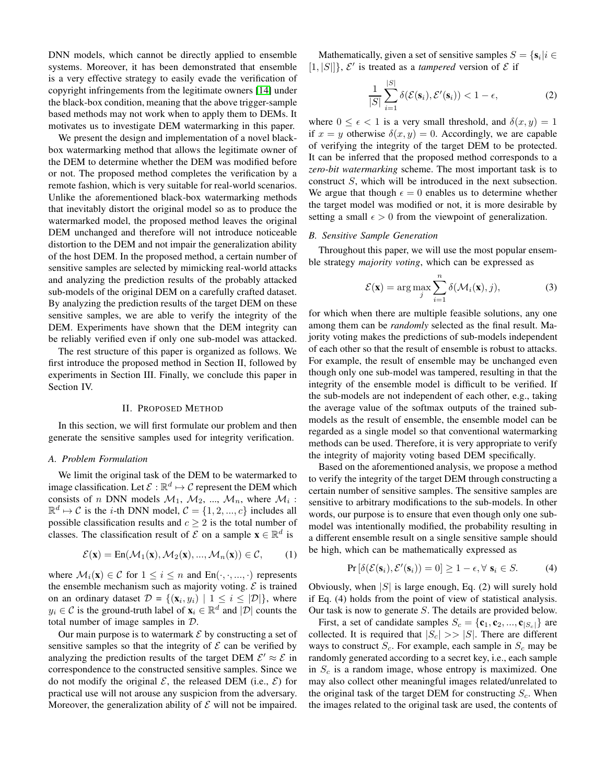DNN models, which cannot be directly applied to ensemble systems. Moreover, it has been demonstrated that ensemble is a very effective strategy to easily evade the verification of copyright infringements from the legitimate owners [\[14\]](#page-4-6) under the black-box condition, meaning that the above trigger-sample based methods may not work when to apply them to DEMs. It motivates us to investigate DEM watermarking in this paper.

We present the design and implementation of a novel blackbox watermarking method that allows the legitimate owner of the DEM to determine whether the DEM was modified before or not. The proposed method completes the verification by a remote fashion, which is very suitable for real-world scenarios. Unlike the aforementioned black-box watermarking methods that inevitably distort the original model so as to produce the watermarked model, the proposed method leaves the original DEM unchanged and therefore will not introduce noticeable distortion to the DEM and not impair the generalization ability of the host DEM. In the proposed method, a certain number of sensitive samples are selected by mimicking real-world attacks and analyzing the prediction results of the probably attacked sub-models of the original DEM on a carefully crafted dataset. By analyzing the prediction results of the target DEM on these sensitive samples, we are able to verify the integrity of the DEM. Experiments have shown that the DEM integrity can be reliably verified even if only one sub-model was attacked.

The rest structure of this paper is organized as follows. We first introduce the proposed method in Section II, followed by experiments in Section III. Finally, we conclude this paper in Section IV.

### II. PROPOSED METHOD

In this section, we will first formulate our problem and then generate the sensitive samples used for integrity verification.

# *A. Problem Formulation*

We limit the original task of the DEM to be watermarked to image classification. Let  $\mathcal{E} : \mathbb{R}^d \mapsto \mathcal{C}$  represent the DEM which consists of *n* DNN models  $M_1$ ,  $M_2$ , ...,  $M_n$ , where  $M_i$ :  $\mathbb{R}^d \mapsto C$  is the *i*-th DNN model,  $C = \{1, 2, ..., c\}$  includes all possible classification results and  $c \geq 2$  is the total number of classes. The classification result of  $\mathcal E$  on a sample  $\mathbf x \in \mathbb R^d$  is

$$
\mathcal{E}(\mathbf{x}) = \text{En}(\mathcal{M}_1(\mathbf{x}), \mathcal{M}_2(\mathbf{x}), ..., \mathcal{M}_n(\mathbf{x})) \in \mathcal{C}, \qquad (1)
$$

where  $\mathcal{M}_i(\mathbf{x}) \in \mathcal{C}$  for  $1 \leq i \leq n$  and  $\text{En}(\cdot, \cdot, \dots, \cdot)$  represents the ensemble mechanism such as majority voting.  $\mathcal E$  is trained on an ordinary dataset  $\mathcal{D} = \{(\mathbf{x}_i, y_i) \mid 1 \leq i \leq |\mathcal{D}|\}\$ , where  $y_i \in \mathcal{C}$  is the ground-truth label of  $\mathbf{x}_i \in \mathbb{R}^d$  and  $|\mathcal{D}|$  counts the total number of image samples in D.

Our main purpose is to watermark  $\mathcal E$  by constructing a set of sensitive samples so that the integrity of  $\mathcal E$  can be verified by analyzing the prediction results of the target DEM  $\mathcal{E}' \approx \mathcal{E}$  in correspondence to the constructed sensitive samples. Since we do not modify the original  $\mathcal{E}$ , the released DEM (i.e.,  $\mathcal{E}$ ) for practical use will not arouse any suspicion from the adversary. Moreover, the generalization ability of  $\mathcal E$  will not be impaired.

Mathematically, given a set of sensitive samples  $S = \{s_i | i \in$  $[1, |S|]$ ,  $\mathcal{E}'$  is treated as a *tampered* version of  $\mathcal E$  if

$$
\frac{1}{|S|} \sum_{i=1}^{|S|} \delta(\mathcal{E}(\mathbf{s}_i), \mathcal{E}'(\mathbf{s}_i)) < 1 - \epsilon,\tag{2}
$$

where  $0 \leq \epsilon \leq 1$  is a very small threshold, and  $\delta(x, y) = 1$ if  $x = y$  otherwise  $\delta(x, y) = 0$ . Accordingly, we are capable of verifying the integrity of the target DEM to be protected. It can be inferred that the proposed method corresponds to a *zero-bit watermarking* scheme. The most important task is to construct S, which will be introduced in the next subsection. We argue that though  $\epsilon = 0$  enables us to determine whether the target model was modified or not, it is more desirable by setting a small  $\epsilon > 0$  from the viewpoint of generalization.

# *B. Sensitive Sample Generation*

Throughout this paper, we will use the most popular ensemble strategy *majority voting*, which can be expressed as

$$
\mathcal{E}(\mathbf{x}) = \arg\max_{j} \sum_{i=1}^{n} \delta(\mathcal{M}_i(\mathbf{x}), j),
$$
 (3)

for which when there are multiple feasible solutions, any one among them can be *randomly* selected as the final result. Majority voting makes the predictions of sub-models independent of each other so that the result of ensemble is robust to attacks. For example, the result of ensemble may be unchanged even though only one sub-model was tampered, resulting in that the integrity of the ensemble model is difficult to be verified. If the sub-models are not independent of each other, e.g., taking the average value of the softmax outputs of the trained submodels as the result of ensemble, the ensemble model can be regarded as a single model so that conventional watermarking methods can be used. Therefore, it is very appropriate to verify the integrity of majority voting based DEM specifically.

Based on the aforementioned analysis, we propose a method to verify the integrity of the target DEM through constructing a certain number of sensitive samples. The sensitive samples are sensitive to arbitrary modifications to the sub-models. In other words, our purpose is to ensure that even though only one submodel was intentionally modified, the probability resulting in a different ensemble result on a single sensitive sample should be high, which can be mathematically expressed as

$$
Pr\left[\delta(\mathcal{E}(\mathbf{s}_i), \mathcal{E}'(\mathbf{s}_i)) = 0\right] \ge 1 - \epsilon, \forall \ \mathbf{s}_i \in S. \tag{4}
$$

Obviously, when  $|S|$  is large enough, Eq. (2) will surely hold if Eq. (4) holds from the point of view of statistical analysis. Our task is now to generate S. The details are provided below.

First, a set of candidate samples  $S_c = {\bf{c}_1, c_2, ..., c_{|S_c|}}$  are collected. It is required that  $|S_c| \gg |S|$ . There are different ways to construct  $S_c$ . For example, each sample in  $S_c$  may be randomly generated according to a secret key, i.e., each sample in  $S_c$  is a random image, whose entropy is maximized. One may also collect other meaningful images related/unrelated to the original task of the target DEM for constructing  $S_c$ . When the images related to the original task are used, the contents of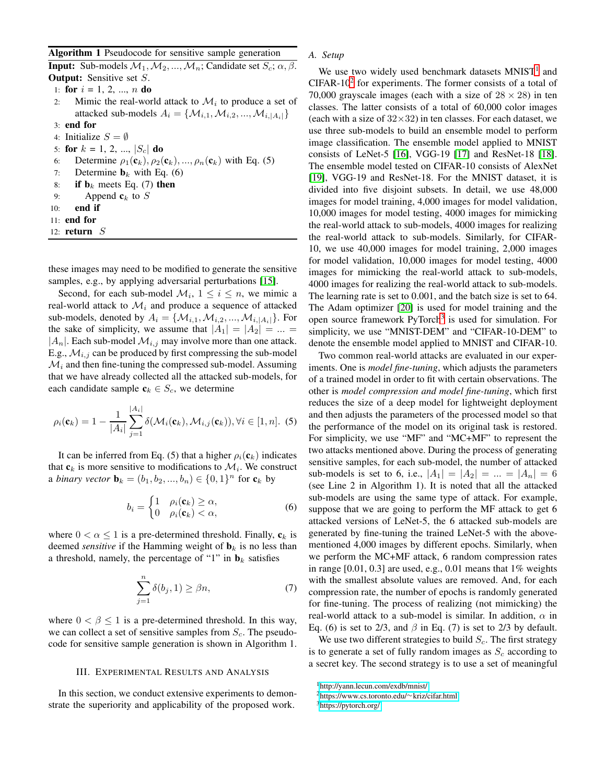Algorithm 1 Pseudocode for sensitive sample generation

**Input:** Sub-models  $M_1, M_2, ..., M_n$ ; Candidate set  $S_c$ ;  $\alpha, \beta$ . **Output:** Sensitive set S.

1: for  $i = 1, 2, ..., n$  do

- 2: Mimic the real-world attack to  $\mathcal{M}_i$  to produce a set of attacked sub-models  $A_i = \{M_{i,1}, M_{i,2}, ..., M_{i,|A_i|}\}\$ 3: end for
- 4: Initialize  $S = \emptyset$
- 5: for  $k = 1, 2, ..., |S_c|$  do
- 6: Determine  $\rho_1(\mathbf{c}_k), \rho_2(\mathbf{c}_k), ..., \rho_n(\mathbf{c}_k)$  with Eq. (5)
- 7: Determine  $\mathbf{b}_k$  with Eq. (6)
- 8: if  $\mathbf{b}_k$  meets Eq. (7) then
- 9: Append  $c_k$  to S
- 10: end if
- 11: end for
- 12:  $return S$

these images may need to be modified to generate the sensitive samples, e.g., by applying adversarial perturbations [\[15\]](#page-4-7).

Second, for each sub-model  $\mathcal{M}_i$ ,  $1 \leq i \leq n$ , we mimic a real-world attack to  $\mathcal{M}_i$  and produce a sequence of attacked sub-models, denoted by  $A_i = \{M_{i,1}, M_{i,2}, ..., M_{i,|A_i|}\}.$  For the sake of simplicity, we assume that  $|A_1| = |A_2| = ... =$  $|A_n|$ . Each sub-model  $\mathcal{M}_{i,j}$  may involve more than one attack. E.g.,  $\mathcal{M}_{i,j}$  can be produced by first compressing the sub-model  $\mathcal{M}_i$  and then fine-tuning the compressed sub-model. Assuming that we have already collected all the attacked sub-models, for each candidate sample  $c_k \in S_c$ , we determine

$$
\rho_i(\mathbf{c}_k) = 1 - \frac{1}{|A_i|} \sum_{j=1}^{|A_i|} \delta(\mathcal{M}_i(\mathbf{c}_k), \mathcal{M}_{i,j}(\mathbf{c}_k)), \forall i \in [1, n]. \tag{5}
$$

It can be inferred from Eq. (5) that a higher  $\rho_i(\mathbf{c}_k)$  indicates that  $\mathbf{c}_k$  is more sensitive to modifications to  $\mathcal{M}_i$ . We construct a *binary vector*  $\mathbf{b}_k = (b_1, b_2, ..., b_n) \in \{0, 1\}^n$  for  $\mathbf{c}_k$  by

$$
b_i = \begin{cases} 1 & \rho_i(\mathbf{c}_k) \ge \alpha, \\ 0 & \rho_i(\mathbf{c}_k) < \alpha, \end{cases}
$$
 (6)

where  $0 < \alpha \leq 1$  is a pre-determined threshold. Finally,  $c_k$  is deemed *sensitive* if the Hamming weight of  $\mathbf{b}_k$  is no less than a threshold, namely, the percentage of "1" in  $\mathbf{b}_k$  satisfies

$$
\sum_{j=1}^{n} \delta(b_j, 1) \ge \beta n,\tag{7}
$$

where  $0 < \beta \le 1$  is a pre-determined threshold. In this way, we can collect a set of sensitive samples from  $S_c$ . The pseudocode for sensitive sample generation is shown in Algorithm 1.

### III. EXPERIMENTAL RESULTS AND ANALYSIS

In this section, we conduct extensive experiments to demonstrate the superiority and applicability of the proposed work.

# *A. Setup*

We use two widely used benchmark datasets  $MNIST<sup>1</sup>$  $MNIST<sup>1</sup>$  $MNIST<sup>1</sup>$  and  $CIFAR-10<sup>2</sup>$  $CIFAR-10<sup>2</sup>$  $CIFAR-10<sup>2</sup>$  for experiments. The former consists of a total of 70,000 grayscale images (each with a size of  $28 \times 28$ ) in ten classes. The latter consists of a total of 60,000 color images (each with a size of  $32\times32$ ) in ten classes. For each dataset, we use three sub-models to build an ensemble model to perform image classification. The ensemble model applied to MNIST consists of LeNet-5 [\[16\]](#page-4-8), VGG-19 [\[17\]](#page-5-0) and ResNet-18 [\[18\]](#page-5-1). The ensemble model tested on CIFAR-10 consists of AlexNet [\[19\]](#page-5-2), VGG-19 and ResNet-18. For the MNIST dataset, it is divided into five disjoint subsets. In detail, we use 48,000 images for model training, 4,000 images for model validation, 10,000 images for model testing, 4000 images for mimicking the real-world attack to sub-models, 4000 images for realizing the real-world attack to sub-models. Similarly, for CIFAR-10, we use 40,000 images for model training, 2,000 images for model validation, 10,000 images for model testing, 4000 images for mimicking the real-world attack to sub-models, 4000 images for realizing the real-world attack to sub-models. The learning rate is set to 0.001, and the batch size is set to 64. The Adam optimizer [\[20\]](#page-5-3) is used for model training and the open source framework PyTorch<sup>[3](#page-2-2)</sup> is used for simulation. For simplicity, we use "MNIST-DEM" and "CIFAR-10-DEM" to denote the ensemble model applied to MNIST and CIFAR-10.

Two common real-world attacks are evaluated in our experiments. One is *model fine-tuning*, which adjusts the parameters of a trained model in order to fit with certain observations. The other is *model compression and model fine-tuning*, which first reduces the size of a deep model for lightweight deployment and then adjusts the parameters of the processed model so that the performance of the model on its original task is restored. For simplicity, we use "MF" and "MC+MF" to represent the two attacks mentioned above. During the process of generating sensitive samples, for each sub-model, the number of attacked sub-models is set to 6, i.e.,  $|A_1| = |A_2| = ... = |A_n| = 6$ (see Line 2 in Algorithm 1). It is noted that all the attacked sub-models are using the same type of attack. For example, suppose that we are going to perform the MF attack to get 6 attacked versions of LeNet-5, the 6 attacked sub-models are generated by fine-tuning the trained LeNet-5 with the abovementioned 4,000 images by different epochs. Similarly, when we perform the MC+MF attack, 6 random compression rates in range  $[0.01, 0.3]$  are used, e.g., 0.01 means that  $1\%$  weights with the smallest absolute values are removed. And, for each compression rate, the number of epochs is randomly generated for fine-tuning. The process of realizing (not mimicking) the real-world attack to a sub-model is similar. In addition,  $\alpha$  in Eq. (6) is set to 2/3, and  $\beta$  in Eq. (7) is set to 2/3 by default.

We use two different strategies to build  $S_c$ . The first strategy is to generate a set of fully random images as  $S_c$  according to a secret key. The second strategy is to use a set of meaningful

<sup>1</sup><http://yann.lecun.com/exdb/mnist/>

<span id="page-2-0"></span><sup>2</sup>[https://www.cs.toronto.edu/](https://www.cs.toronto.edu/~kriz/cifar.html)∼kriz/cifar.html

<span id="page-2-2"></span><span id="page-2-1"></span><sup>3</sup><https://pytorch.org/>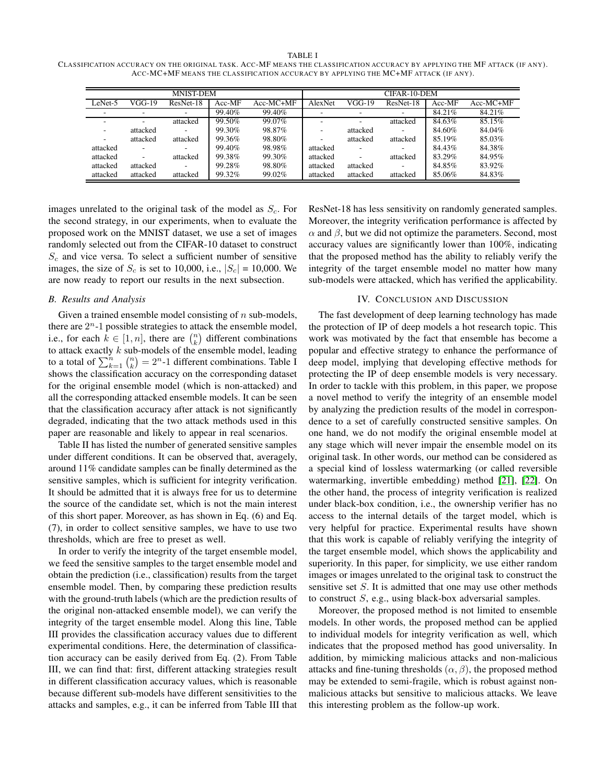### TABLE I

CLASS IFICATION ACCURACY ON THE ORIGINAL TASK. ACC-MF MEANS THE CLASS IFICATION ACCURACY BY APPLYING THE MF ATTACK (IF ANY). ACC-MC+MF MEANS THE CLASSIFICATION ACCURACY BY APPLYING THE MC+MF ATTACK (IF ANY).

| <b>MNIST-DEM</b>         |          |                          |        |             | CIFAR-10-DEM             |          |                          |          |             |  |
|--------------------------|----------|--------------------------|--------|-------------|--------------------------|----------|--------------------------|----------|-------------|--|
| LeNet-5                  | VGG-19   | ResNet-18                | Acc-MF | $Acc-MC+MF$ | AlexNet                  | $VGG-19$ | ResNet-18                | $Acc-MF$ | $Acc-MC+MF$ |  |
| $\overline{\phantom{a}}$ |          | ۰                        | 99.40% | 99.40%      | -                        |          |                          | 84.21%   | 84.21%      |  |
|                          | -        | attacked                 | 99.50% | 99.07%      | -                        | -        | attacked                 | 84.63%   | 85.15%      |  |
| $\overline{\phantom{a}}$ | attacked | $\sim$                   | 99.30% | 98.87%      | -                        | attacked | $\overline{\phantom{a}}$ | 84.60%   | 84.04%      |  |
| $\overline{\phantom{a}}$ | attacked | attacked                 | 99.36% | 98.80%      | $\overline{\phantom{a}}$ | attacked | attacked                 | 85.19%   | 85.03%      |  |
| attacked                 |          | $\overline{\phantom{a}}$ | 99.40% | 98.98%      | attacked                 |          | $\overline{\phantom{a}}$ | 84.43%   | 84.38%      |  |
| attacked                 |          | attacked                 | 99.38% | 99.30%      | attacked                 |          | attacked                 | 83.29%   | 84.95%      |  |
| attacked                 | attacked | $\sim$                   | 99.28% | 98.80%      | attacked                 | attacked | $\overline{\phantom{a}}$ | 84.85%   | 83.92%      |  |
| attacked                 | attacked | attacked                 | 99.32% | 99.02%      | attacked                 | attacked | attacked                 | 85.06%   | 84.83%      |  |

images unrelated to the original task of the model as  $S_c$ . For the second strategy, in our experiments, when to evaluate the proposed work on the MNIST dataset, we use a set of images randomly selected out from the CIFAR-10 dataset to construct  $S_c$  and vice versa. To select a sufficient number of sensitive images, the size of  $S_c$  is set to 10,000, i.e.,  $|S_c| = 10,000$ . We are now ready to report our results in the next subsection.

## *B. Results and Analysis*

Given a trained ensemble model consisting of  $n$  sub-models, there are  $2<sup>n</sup>$ -1 possible strategies to attack the ensemble model, i.e., for each  $k \in [1, n]$ , there are  $\binom{n}{k}$  different combinations to attack exactly  $k$  sub-models of the ensemble model, leading to a total of  $\sum_{k=1}^{n} \binom{n}{k} = 2^{n} - 1$  different combinations. Table I shows the classification accuracy on the corresponding dataset for the original ensemble model (which is non-attacked) and all the corresponding attacked ensemble models. It can be seen that the classification accuracy after attack is not significantly degraded, indicating that the two attack methods used in this paper are reasonable and likely to appear in real scenarios.

Table II has listed the number of generated sensitive samples under different conditions. It can be observed that, averagely, around 11% candidate samples can be finally determined as the sensitive samples, which is sufficient for integrity verification. It should be admitted that it is always free for us to determine the source of the candidate set, which is not the main interest of this short paper. Moreover, as has shown in Eq. (6) and Eq. (7), in order to collect sensitive samples, we have to use two thresholds, which are free to preset as well.

In order to verify the integrity of the target ensemble model, we feed the sensitive samples to the target ensemble model and obtain the prediction (i.e., classification) results from the target ensemble model. Then, by comparing these prediction results with the ground-truth labels (which are the prediction results of the original non-attacked ensemble model), we can verify the integrity of the target ensemble model. Along this line, Table III provides the classification accuracy values due to different experimental conditions. Here, the determination of classification accuracy can be easily derived from Eq. (2). From Table III, we can find that: first, different attacking strategies result in different classification accuracy values, which is reasonable because different sub-models have different sensitivities to the attacks and samples, e.g., it can be inferred from Table III that

ResNet-18 has less sensitivity on randomly generated samples. Moreover, the integrity verification performance is affected by  $\alpha$  and  $\beta$ , but we did not optimize the parameters. Second, most accuracy values are significantly lower than 100%, indicating that the proposed method has the ability to reliably verify the integrity of the target ensemble model no matter how many sub-models were attacked, which has verified the applicability.

### IV. CONCLUSION AND DISCUSSION

The fast development of deep learning technology has made the protection of IP of deep models a hot research topic. This work was motivated by the fact that ensemble has become a popular and effective strategy to enhance the performance of deep model, implying that developing effective methods for protecting the IP of deep ensemble models is very necessary. In order to tackle with this problem, in this paper, we propose a novel method to verify the integrity of an ensemble model by analyzing the prediction results of the model in correspondence to a set of carefully constructed sensitive samples. On one hand, we do not modify the original ensemble model at any stage which will never impair the ensemble model on its original task. In other words, our method can be considered as a special kind of lossless watermarking (or called reversible watermarking, invertible embedding) method [\[21\]](#page-5-4), [\[22\]](#page-5-5). On the other hand, the process of integrity verification is realized under black-box condition, i.e., the ownership verifier has no access to the internal details of the target model, which is very helpful for practice. Experimental results have shown that this work is capable of reliably verifying the integrity of the target ensemble model, which shows the applicability and superiority. In this paper, for simplicity, we use either random images or images unrelated to the original task to construct the sensitive set S. It is admitted that one may use other methods to construct S, e.g., using black-box adversarial samples.

Moreover, the proposed method is not limited to ensemble models. In other words, the proposed method can be applied to individual models for integrity verification as well, which indicates that the proposed method has good universality. In addition, by mimicking malicious attacks and non-malicious attacks and fine-tuning thresholds  $(\alpha, \beta)$ , the proposed method may be extended to semi-fragile, which is robust against nonmalicious attacks but sensitive to malicious attacks. We leave this interesting problem as the follow-up work.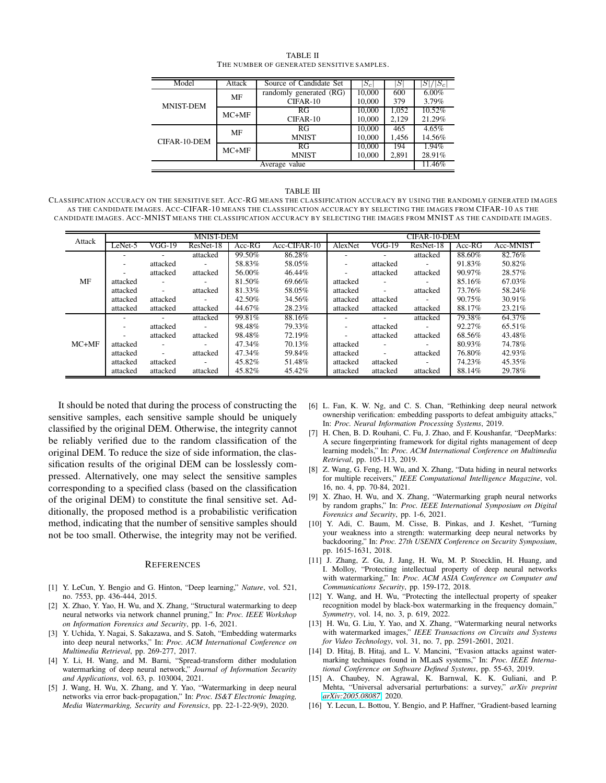| Model            | Attack  | Source of Candidate Set | $S_c$  | S     | $/ S_c $ |  |
|------------------|---------|-------------------------|--------|-------|----------|--|
|                  | MF      | randomly generated (RG) | 10,000 | 600   | $6.00\%$ |  |
| <b>MNIST-DEM</b> |         | CIFAR-10                | 10,000 | 379   | 3.79%    |  |
|                  | $MC+MF$ | RG                      | 10.000 | 1,052 | 10.52%   |  |
|                  |         | CIFAR-10                | 10.000 | 2,129 | 21.29%   |  |
|                  | MF      | RG                      | 10,000 | 465   | 4.65%    |  |
| CIFAR-10-DEM     |         | <b>MNIST</b>            | 10,000 | 1,456 | 14.56%   |  |
|                  | $MC+MF$ | RG                      | 10,000 | 194   | 1.94%    |  |
|                  |         | <b>MNIST</b>            | 10,000 | 2.891 | 28.91%   |  |
| Average value    |         |                         |        |       |          |  |

### TABLE II THE NUMBER OF GENERATED SENSITIVE SAMPLES.

### TABLE III

CLASSIFICATION ACCURACY ON THE SENSITIVE SET. ACC-RG MEANS THE CLASSIFICATION ACCURACY BY USING THE RANDOMLY GENERATED IMAGES AS THE CANDIDATE IMAGES. ACC-CIFAR-10 MEANS THE CLASS IFICATION ACCURACY BY SELECTING THE IMAGES FROM CIFAR-10 AS THE CANDIDATE IMAGES. ACC-MNIST MEANS THE CLASS IFICATION ACCURACY BY SELECTING THE IMAGES FROM MNIST AS THE CANDIDATE IMAGES.

| Attack  | <b>MNIST-DEM</b>         |                          |                          |          |              | CIFAR-10-DEM |                          |           |          |           |  |
|---------|--------------------------|--------------------------|--------------------------|----------|--------------|--------------|--------------------------|-----------|----------|-----------|--|
|         | LeNet-5                  | VGG-19                   | ResNet-18                | $Acc-RG$ | Acc-CIFAR-10 | AlexNet      | $VGG-19$                 | ResNet-18 | $Acc-RG$ | Acc-MNIST |  |
| MF      | ۰                        | ٠                        | attacked                 | 99.50%   | 86.28%       |              |                          | attacked  | 88.60%   | 82.76%    |  |
|         | $\overline{\phantom{a}}$ | attacked                 | ٠                        | 58.83%   | 58.05%       |              | attacked                 | $\sim$    | 91.83%   | 50.82%    |  |
|         | $\overline{\phantom{a}}$ | attacked                 | attacked                 | 56.00%   | 46.44%       |              | attacked                 | attacked  | 90.97%   | 28.57%    |  |
|         | attacked                 | $\overline{a}$           |                          | 81.50%   | 69.66%       | attacked     | $\sim$                   |           | 85.16%   | 67.03%    |  |
|         | attacked                 | $\sim$                   | attacked                 | 81.33%   | 58.05%       | attacked     | $\overline{\phantom{a}}$ | attacked  | 73.76%   | 58.24%    |  |
|         | attacked                 | attacked                 | $\overline{\phantom{a}}$ | 42.50%   | 34.56%       | attacked     | attacked                 | $\sim$    | 90.75%   | 30.91%    |  |
|         | attacked                 | attacked                 | attacked                 | 44.67%   | 28.23%       | attacked     | attacked                 | attacked  | 88.17%   | 23.21%    |  |
| $MC+MF$ |                          | ۰.                       | attacked                 | 99.81%   | 88.16%       |              |                          | attacked  | 79.38%   | 64.37%    |  |
|         | $\overline{\phantom{a}}$ | attacked                 | $\overline{\phantom{a}}$ | 98.48%   | 79.33%       |              | attacked                 | $\sim$    | 92.27%   | 65.51%    |  |
|         | $\overline{\phantom{a}}$ | attacked                 | attacked                 | 98.48%   | 72.19%       |              | attacked                 | attacked  | 68.56%   | 43.48%    |  |
|         | attacked                 | $\overline{\phantom{0}}$ |                          | 47.34%   | 70.13%       | attacked     | $\overline{\phantom{a}}$ |           | 80.93%   | 74.78%    |  |
|         | attacked                 | $\sim$                   | attacked                 | 47.34%   | 59.84%       | attacked     | $\overline{\phantom{a}}$ | attacked  | 76.80%   | 42.93%    |  |
|         | attacked                 | attacked                 | $\sim$                   | 45.82%   | 51.48%       | attacked     | attacked                 | $\sim$    | 74.23%   | 45.35%    |  |
|         | attacked                 | attacked                 | attacked                 | 45.82%   | 45.42%       | attacked     | attacked                 | attacked  | 88.14%   | 29.78%    |  |

It should be noted that during the process of constructing the sensitive samples, each sensitive sample should be uniquely classified by the original DEM. Otherwise, the integrity cannot be reliably verified due to the random classification of the original DEM. To reduce the size of side information, the classification results of the original DEM can be losslessly compressed. Alternatively, one may select the sensitive samples corresponding to a specified class (based on the classification of the original DEM) to constitute the final sensitive set. Additionally, the proposed method is a probabilistic verification method, indicating that the number of sensitive samples should not be too small. Otherwise, the integrity may not be verified.

### **REFERENCES**

- <span id="page-4-0"></span>[1] Y. LeCun, Y. Bengio and G. Hinton, "Deep learning," *Nature*, vol. 521, no. 7553, pp. 436-444, 2015.
- <span id="page-4-1"></span>[2] X. Zhao, Y. Yao, H. Wu, and X. Zhang, "Structural watermarking to deep neural networks via network channel pruning," In: *Proc. IEEE Workshop on Information Forensics and Security*, pp. 1-6, 2021.
- <span id="page-4-2"></span>[3] Y. Uchida, Y. Nagai, S. Sakazawa, and S. Satoh, "Embedding watermarks into deep neural networks," In: *Proc. ACM International Conference on Multimedia Retrieval*, pp. 269-277, 2017.
- [4] Y. Li, H. Wang, and M. Barni, "Spread-transform dither modulation watermarking of deep neural network," *Journal of Information Security and Applications*, vol. 63, p. 103004, 2021.
- [5] J. Wang, H. Wu, X. Zhang, and Y. Yao, "Watermarking in deep neural networks via error back-propagation," In: *Proc. IS&T Electronic Imaging, Media Watermarking, Security and Forensics*, pp. 22-1-22-9(9), 2020.
- [6] L. Fan, K. W. Ng, and C. S. Chan, "Rethinking deep neural network ownership verification: embedding passports to defeat ambiguity attacks," In: *Proc. Neural Information Processing Systems*, 2019.
- [7] H. Chen, B. D. Rouhani, C. Fu, J. Zhao, and F. Koushanfar, "DeepMarks: A secure fingerprinting framework for digital rights management of deep learning models," In: *Proc. ACM International Conference on Multimedia Retrieval*, pp. 105-113, 2019.
- <span id="page-4-3"></span>[8] Z. Wang, G. Feng, H. Wu, and X. Zhang, "Data hiding in neural networks for multiple receivers," *IEEE Computational Intelligence Magazine*, vol. 16, no. 4, pp. 70-84, 2021.
- <span id="page-4-4"></span>[9] X. Zhao, H. Wu, and X. Zhang, "Watermarking graph neural networks by random graphs," In: *Proc. IEEE International Symposium on Digital Forensics and Security*, pp. 1-6, 2021.
- [10] Y. Adi, C. Baum, M. Cisse, B. Pinkas, and J. Keshet, "Turning your weakness into a strength: watermarking deep neural networks by backdooring," In: *Proc. 27th USENIX Conference on Security Symposium*, pp. 1615-1631, 2018.
- [11] J. Zhang, Z. Gu, J. Jang, H. Wu, M. P. Stoecklin, H. Huang, and I. Molloy, "Protecting intellectual property of deep neural networks with watermarking," In: *Proc. ACM ASIA Conference on Computer and Communications Security*, pp. 159-172, 2018.
- [12] Y. Wang, and H. Wu, "Protecting the intellectual property of speaker recognition model by black-box watermarking in the frequency domain," *Symmetry*, vol. 14, no. 3, p. 619, 2022.
- <span id="page-4-5"></span>[13] H. Wu, G. Liu, Y. Yao, and X. Zhang, "Watermarking neural networks with watermarked images," *IEEE Transactions on Circuits and Systems for Video Technology*, vol. 31, no. 7, pp. 2591-2601, 2021.
- <span id="page-4-6"></span>[14] D. Hitaj, B. Hitaj, and L. V. Mancini, "Evasion attacks against watermarking techniques found in MLaaS systems," In: *Proc. IEEE International Conference on Software Defined Systems*, pp. 55-63, 2019.
- <span id="page-4-7"></span>[15] A. Chaubey, N. Agrawal, K. Barnwal, K. K. Guliani, and P. Mehta, "Universal adversarial perturbations: a survey," *arXiv preprint [arXiv:2005.08087](http://arxiv.org/abs/2005.08087)*, 2020.
- <span id="page-4-8"></span>[16] Y. Lecun, L. Bottou, Y. Bengio, and P. Haffner, "Gradient-based learning